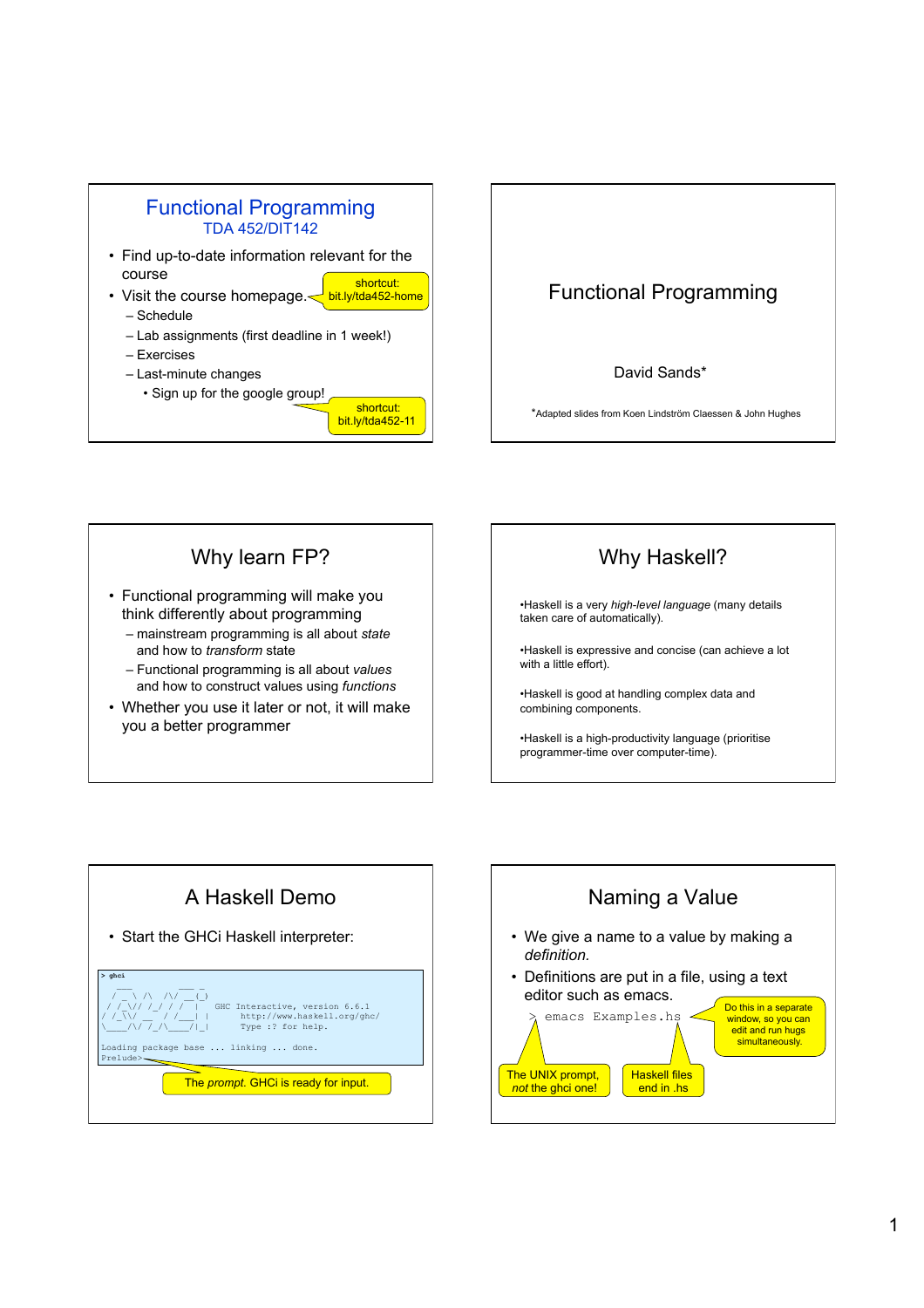

## Functional Programming

## David Sands\*

\*Adapted slides from Koen Lindström Claessen & John Hughes

## Why learn FP?

- Functional programming will make you think differently about programming
	- mainstream programming is all about *state*  and how to *transform* state
	- Functional programming is all about *values* and how to construct values using *functions*
- Whether you use it later or not, it will make you a better programmer



•Haskell is a very *high-level language* (many details taken care of automatically).

•Haskell is expressive and concise (can achieve a lot with a little effort).

•Haskell is good at handling complex data and combining components.

•Haskell is a high-productivity language (prioritise programmer-time over computer-time).



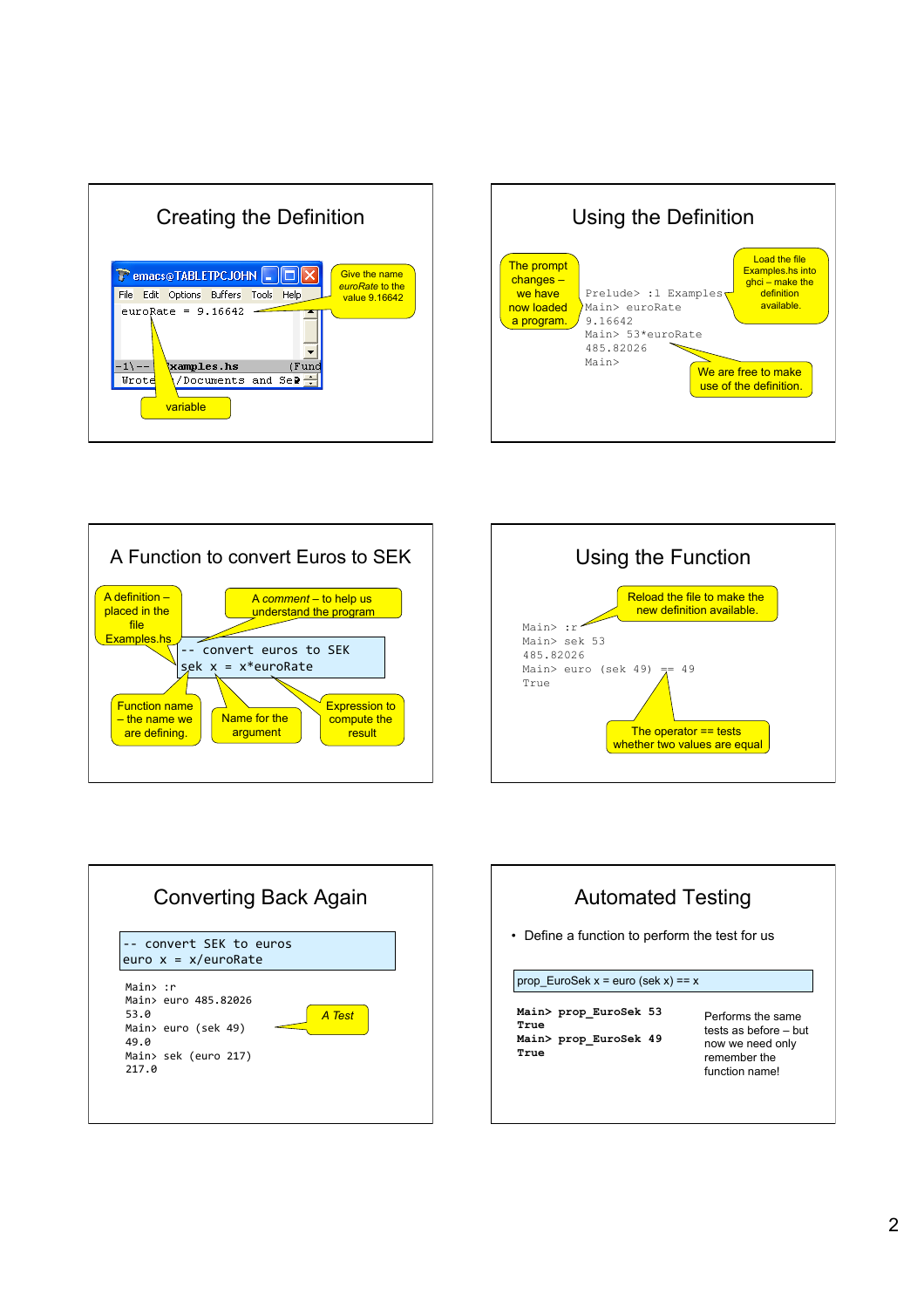









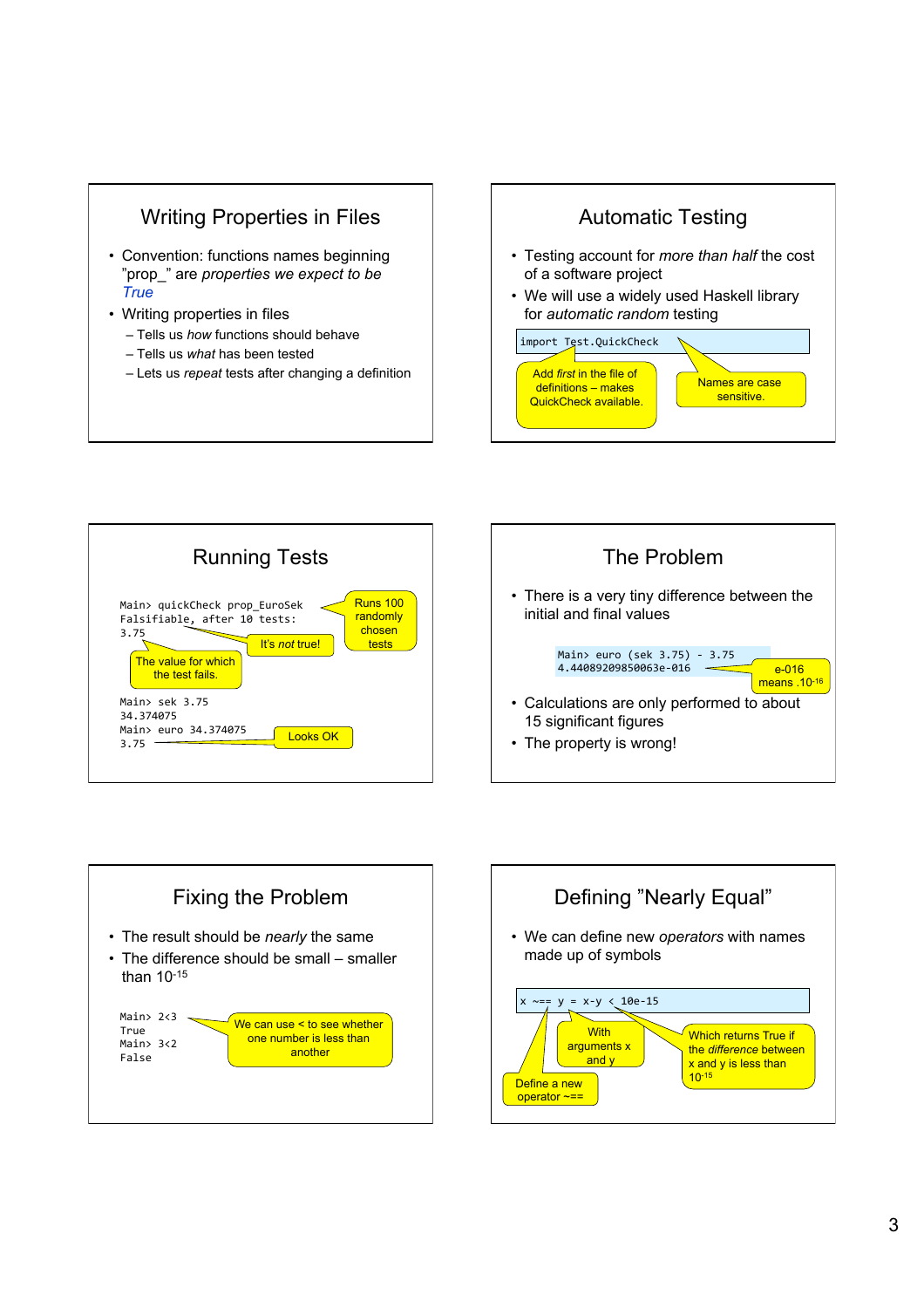







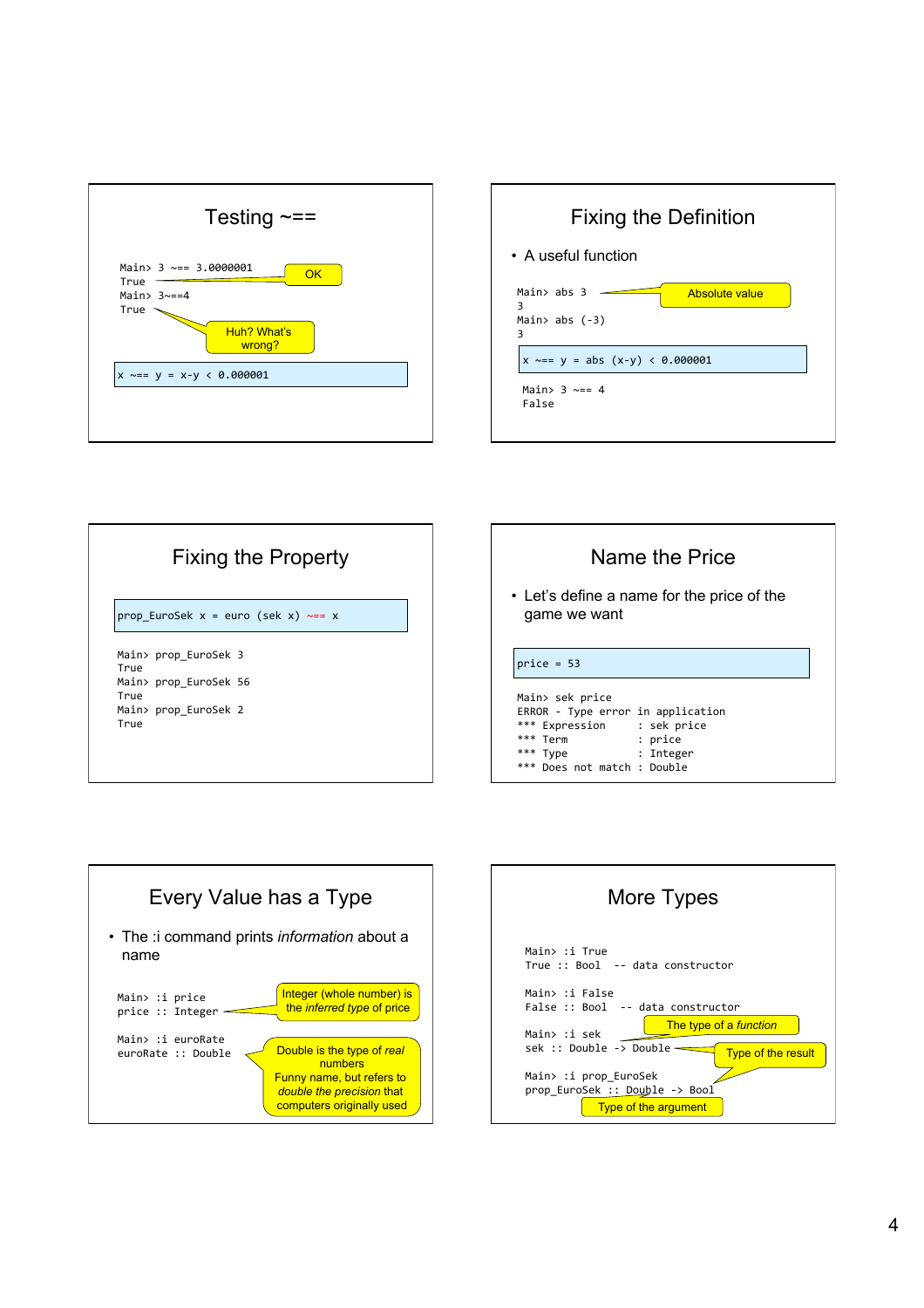









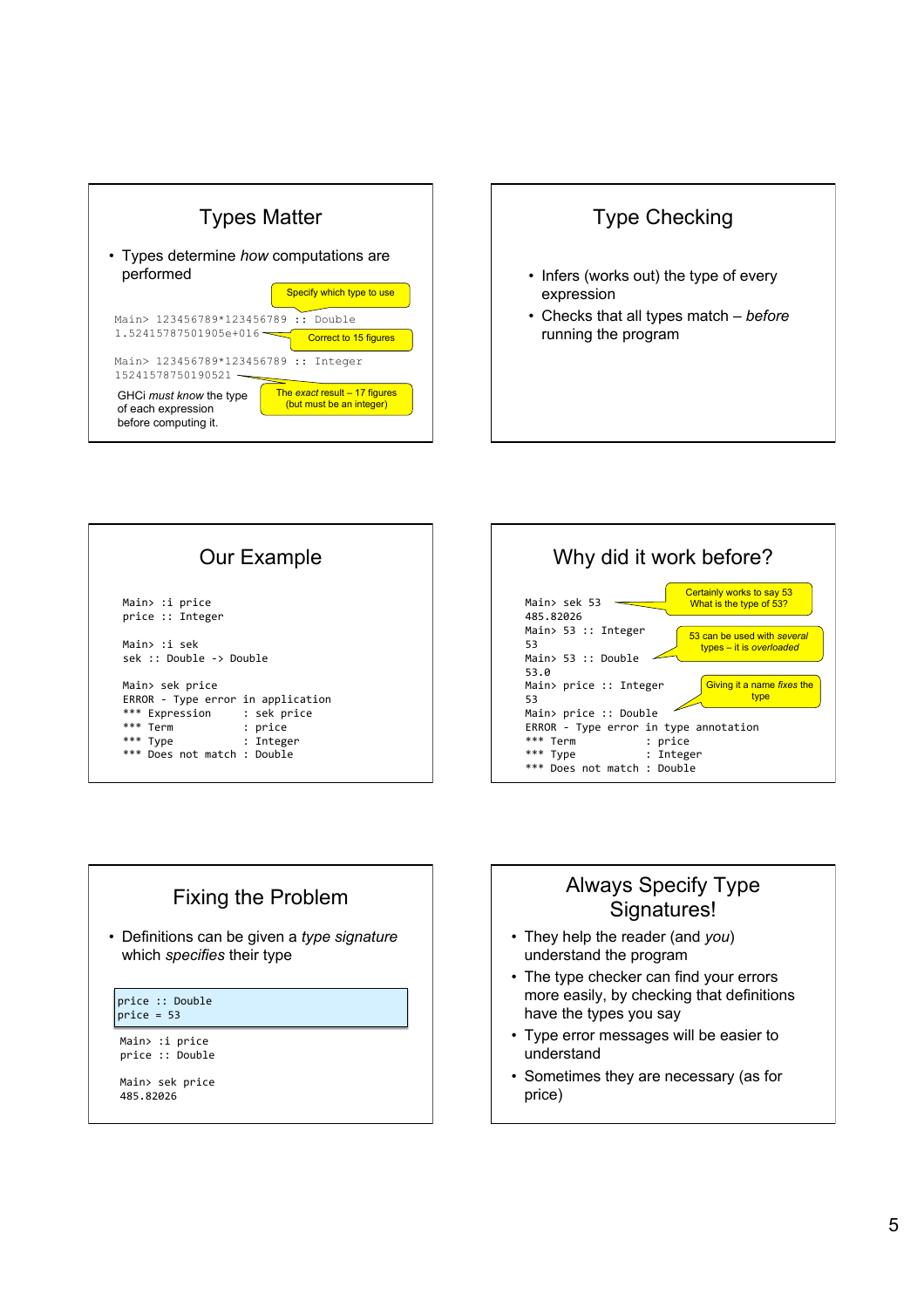









## Always Specify Type Signatures!

- They help the reader (and *you*) understand the program
- The type checker can find your errors more easily, by checking that definitions have the types you say
- Type error messages will be easier to understand
- Sometimes they are necessary (as for price)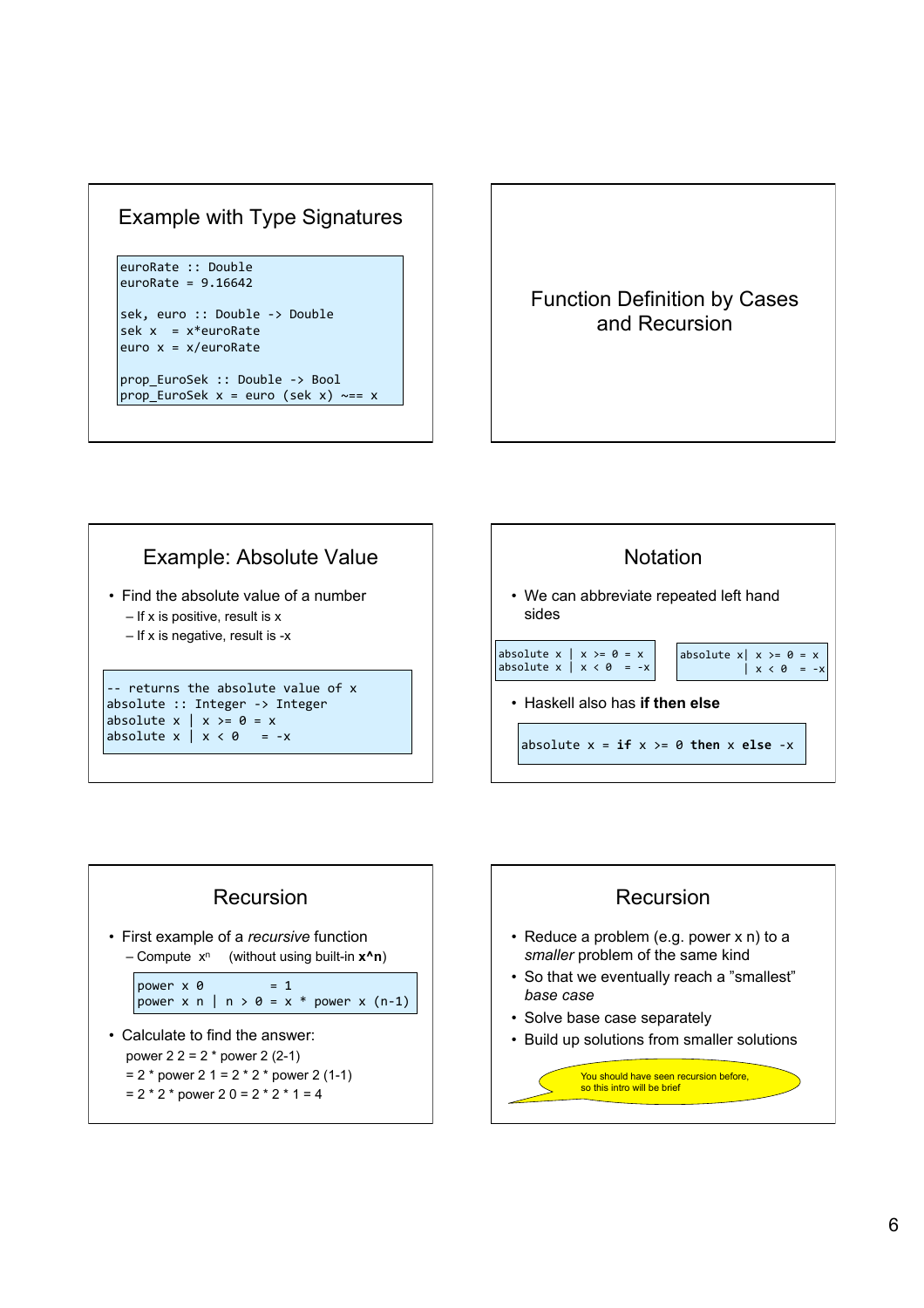